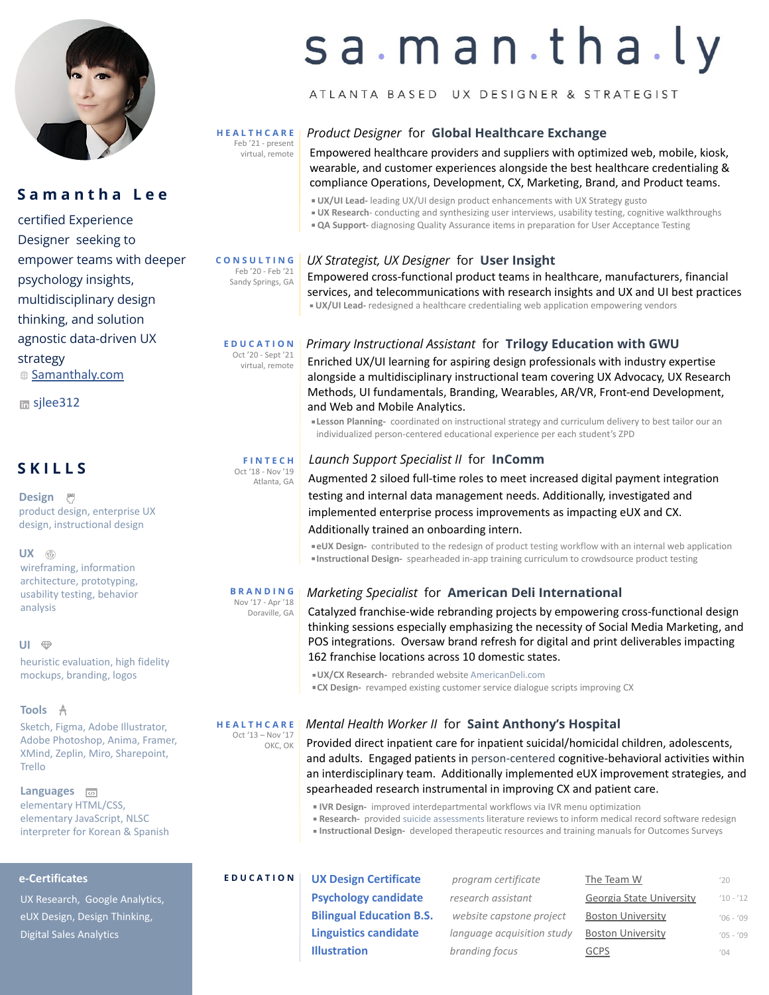

# **S a m a n t h a L e e**

certified Experience Designer seeking to empower teams with deeper psychology insights, multidisciplinary design thinking, and solution agnostic data-driven UX strategy [Samanthaly.com](http://seamlessmusing.wixsite.com/portfolio)

**m** silee312

# **S K I L L S**

**Design** 們 product design, enterprise UX design, instructional design

### **UX**

wireframing, information architecture, prototyping, usability testing, behavior analysis

### **UI**

heuristic evaluation, high fidelity mockups, branding, logos

### **Tools**

Sketch, Figma, Adobe Illustrator, Adobe Photoshop, Anima, Framer, XMind, Zeplin, Miro, Sharepoint, Trello

### **Languages** elementary HTML/CSS, elementary JavaScript, [NLSC](https://www.nlscorps.org/)  [interpreter](https://www.nlscorps.org/) for Korean & Spanish

### **e-Certificates**

UX Research, Google Analytics, eUX Design, Design Thinking, Digital Sales Analytics

# sa.man.tha.ly

# ATLANTA BASED UX DESIGNER & STRATEGIST

#### **H E A L T H C A R E** Feb '21 - present  *Product Designer* for**[Global Healthcare Exchange](https://www.ghx.com/campaigns/vendormate-kiosk-journey/)**

 $v_{\text{virtual, remote}}$  Empowered healthcare providers and suppliers with optimized web, mobile, kiosk, wearable, and customer experiences alongside the best healthcare credentialing & compliance Operations, Development, CX, Marketing, Brand, and Product teams.

- **UX/UI Lead-** leading UX/UI design product enhancements with UX Strategy gusto
- **UX Research** conducting and synthesizing user interviews, usability testing, cognitive walkthroughs
- **QA Support-** diagnosing Quality Assurance items in preparation for User Acceptance Testing

### *UX Strategist, UX Designer* for**[User Insight](http://userinsight.com)** **C O N S U L T I N G**

Empowered cross-functional product teams in healthcare, manufacturers, financial services, and telecommunications with research insights and UX and UI best practices **■ UX/UI Lead-** redesigned a healthcare credentialing web application empowering vendors Feb '20 - Feb '21 Sandy Springs, GA

### *Primary Instructional Assistant* for **[Trilogy Education with GWU](https://www.trilogyed.com/universities/) E D U C A T I O N** Oct '20 - Sept '21

<sup>21</sup> Enriched UX/UI learning for aspiring design professionals with industry expertise alongside a multidisciplinary instructional team covering UX Advocacy, UX Research Methods, UI fundamentals, Branding, Wearables, AR/VR, Front-end Development, and Web and Mobile Analytics.

**ELESSON Planning-** coordinated on instructional strategy and curriculum delivery to best tailor our an individualized person-centered educational experience per each student's ZPD

## *Launch Support Specialist II* for **[InComm](http://incomm.com/)**

Augmented 2 siloed full-time roles to meet increased digital payment integration testing and internal data management needs. Additionally, investigated and implemented enterprise process improvements as impacting eUX and CX. Additionally trained an onboarding intern.

**\*eUX Design-** contributed to the redesign of product testing workflow with an internal web application ▪**Instructional Design-** spearheaded in-app training curriculum to crowdsource product testing

#### *Marketing Specialist* for **[American Deli International](http://www.americandeli.com/) B R A N D I N G** Nov '17 - Apr '18

Catalyzed franchise-wide rebranding projects by empowering cross-functional design thinking sessions especially emphasizing the necessity of Social Media Marketing, and POS integrations. Oversaw brand refresh for digital and print deliverables impacting 162 franchise locations across 10 domestic states.

▪**UX/CX Research-** rebranded website [AmericanDeli.com](http://americandeli.com)

*CX Design-* revamped existing customer service dialogue scripts improving CX

## *Mental Health Worker II* for**[Saint Anthony's Hospital](https://www.ssmhealth.com/locations/st-anthony-hospital)**

Provided direct inpatient care for inpatient suicidal/homicidal children, adolescents, and adults. Engaged patients in [person-centered](https://www.goodtherapy.org/learn-about-therapy/types/person-centered) cognitive-behavioral activities within an interdisciplinary team. Additionally implemented eUX improvement strategies, and spearheaded research instrumental in improving CX and patient care.

- **IVR Design-** improved interdepartmental workflows via IVR menu optimization
- **Research-** provided suicide assessments literature reviews to inform medical record software redesign
- **Instructional Design-** developed therapeutic resources and training manuals for Outcomes Surveys

**UX Design Certificate Psychology candidate Bilingual Education Linguistics candida Illustration** *branding focus* [GCPS](https://publish.gwinnett.k12.ga.us/gcps/home/public) **E D U C A T I O N**

| ate    | program certificate        | The Team W               | '20         |
|--------|----------------------------|--------------------------|-------------|
| ate    | research assistant         | Georgia State University | $10 - 12$   |
| n B.S. | website capstone project   | <b>Boston University</b> | $'06 - '09$ |
| ate    | language acquisition study | <b>Boston University</b> | $'05 - '09$ |
|        | branding focus             | <b>GCPS</b>              | (04)        |

**H E A L T H C A R E** Oct '13 – Nov '17 OKC, OK

# **F I N T E C H**

Oct '18 - Nov '19 Atlanta, GA

Doraville, GA

virtual, remote